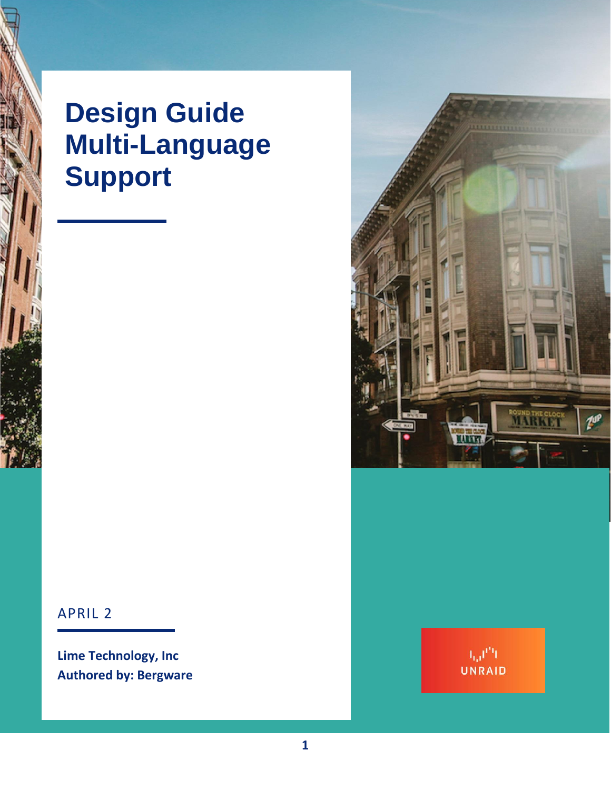# **Design Guide Multi-Language Support**



### APRIL 2

**Lime Technology, Inc Authored by: Bergware**

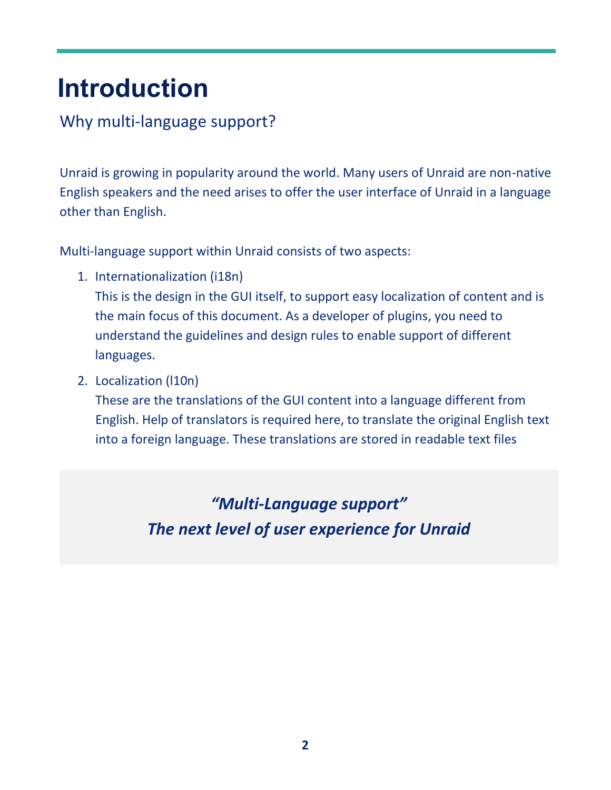# **Introduction**

## Why multi-language support?

Unraid is growing in popularity around the world. Many users of Unraid are non-native English speakers and the need arises to offer the user interface of Unraid in a language other than English.

Multi-language support within Unraid consists of two aspects:

- 1. Internationalization (i18n) This is the design in the GUI itself, to support easy localization of content and is the main focus of this document. As a developer of plugins, you need to understand the guidelines and design rules to enable support of different languages.
- 2. Localization (l10n)

These are the translations of the GUI content into a language different from English. Help of translators is required here, to translate the original English text into a foreign language. These translations are stored in readable text files

> *"Multi-Language support" The next level of user experience for Unraid*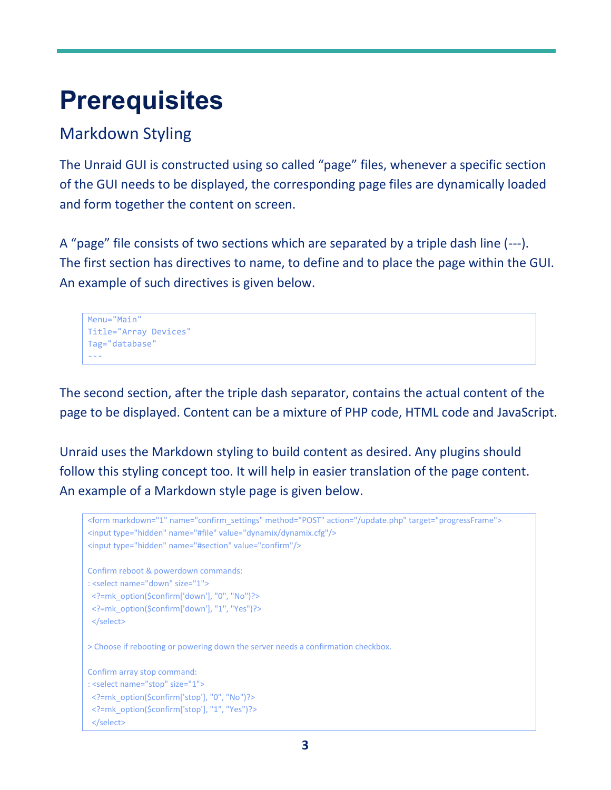# **Prerequisites**

## Markdown Styling

The Unraid GUI is constructed using so called "page" files, whenever a specific section of the GUI needs to be displayed, the corresponding page files are dynamically loaded and form together the content on screen.

A "page" file consists of two sections which are separated by a triple dash line (---). The first section has directives to name, to define and to place the page within the GUI. An example of such directives is given below.

```
Menu="Main"
Title="Array Devices"
Tag="database"
---
```
The second section, after the triple dash separator, contains the actual content of the page to be displayed. Content can be a mixture of PHP code, HTML code and JavaScript.

Unraid uses the Markdown styling to build content as desired. Any plugins should follow this styling concept too. It will help in easier translation of the page content. An example of a Markdown style page is given below.

```
<form markdown="1" name="confirm_settings" method="POST" action="/update.php" target="progressFrame">
<input type="hidden" name="#file" value="dynamix/dynamix.cfg"/>
<input type="hidden" name="#section" value="confirm"/>
Confirm reboot & powerdown commands:
: <select name="down" size="1">
 <?=mk_option($confirm['down'], "0", "No")?>
 <?=mk_option($confirm['down'], "1", "Yes")?>
  </select>
> Choose if rebooting or powering down the server needs a confirmation checkbox.
Confirm array stop command:
: <select name="stop" size="1">
 <?=mk_option($confirm['stop'], "0", "No")?>
  <?=mk_option($confirm['stop'], "1", "Yes")?>
  </select>
```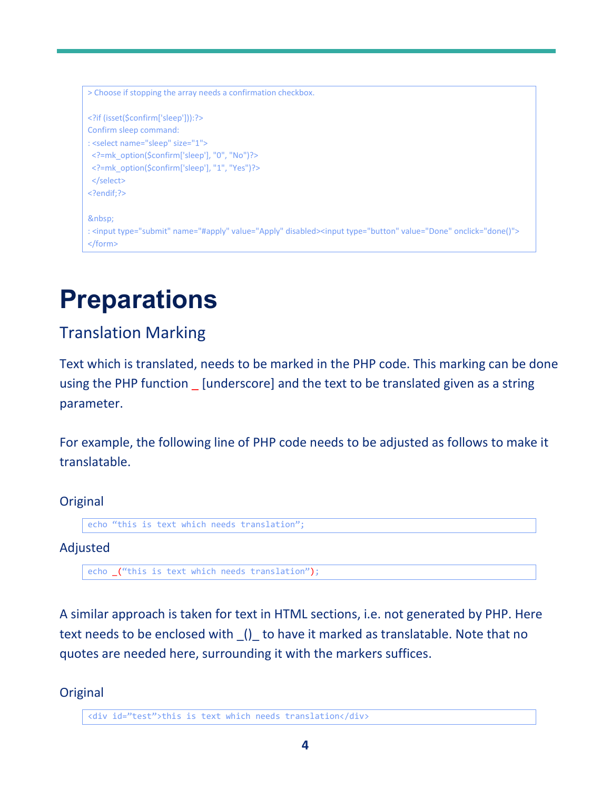```
> Choose if stopping the array needs a confirmation checkbox.
<?if (isset($confirm['sleep'])):?>
Confirm sleep command:
: <select name="sleep" size="1">
 <?=mk_option($confirm['sleep'], "0", "No")?>
 <?=mk_option($confirm['sleep'], "1", "Yes")?>
 </select>
<?endif;?>
 
: <input type="submit" name="#apply" value="Apply" disabled><input type="button" value="Done" onclick="done()">
</form>
```
## **Preparations**

## Translation Marking

Text which is translated, needs to be marked in the PHP code. This marking can be done using the PHP function [underscore] and the text to be translated given as a string parameter.

For example, the following line of PHP code needs to be adjusted as follows to make it translatable.

```
Original
```

```
echo "this is text which needs translation";
```
#### Adjusted

```
echo _("this is text which needs translation");
```
A similar approach is taken for text in HTML sections, i.e. not generated by PHP. Here text needs to be enclosed with () to have it marked as translatable. Note that no quotes are needed here, surrounding it with the markers suffices.

#### **Original**

<div id="test">this is text which needs translation</div>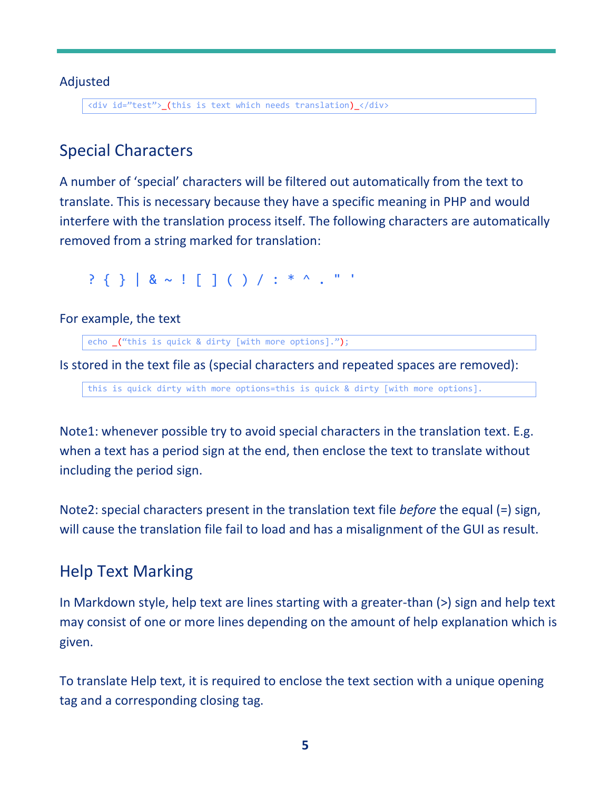#### Adjusted

<div id="test">\_(this is text which needs translation)\_</div>

## Special Characters

A number of 'special' characters will be filtered out automatically from the text to translate. This is necessary because they have a specific meaning in PHP and would interfere with the translation process itself. The following characters are automatically removed from a string marked for translation:

? { } | & ~ ! [ ] ( ) / : \* ^ . " '

For example, the text

echo \_("this is quick & dirty [with more options].");

Is stored in the text file as (special characters and repeated spaces are removed):

this is quick dirty with more options=this is quick & dirty [with more options].

Note1: whenever possible try to avoid special characters in the translation text. E.g. when a text has a period sign at the end, then enclose the text to translate without including the period sign.

Note2: special characters present in the translation text file *before* the equal (=) sign, will cause the translation file fail to load and has a misalignment of the GUI as result.

## Help Text Marking

In Markdown style, help text are lines starting with a greater-than (>) sign and help text may consist of one or more lines depending on the amount of help explanation which is given.

To translate Help text, it is required to enclose the text section with a unique opening tag and a corresponding closing tag.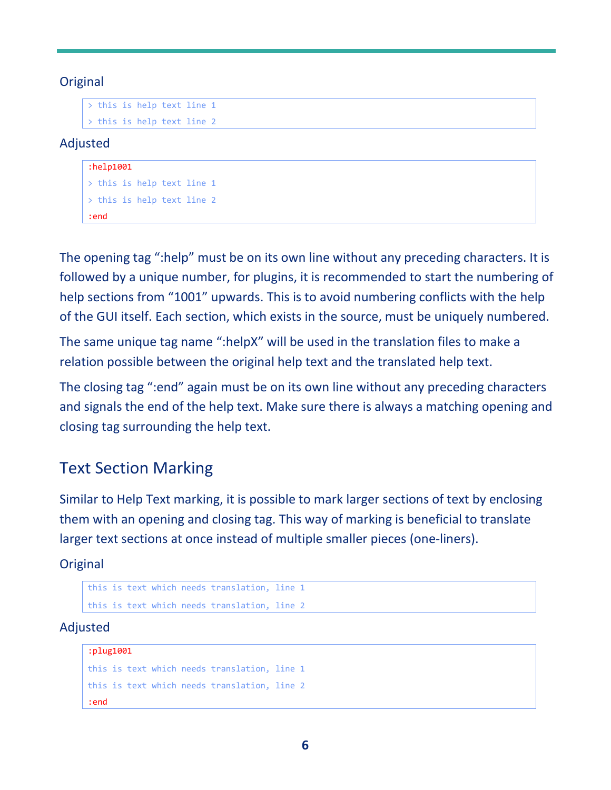#### **Original**

> this is help text line 1 > this is help text line 2

#### Adjusted

#### :help1001

```
> this is help text line 1
> this is help text line 2
:end
```
The opening tag ":help" must be on its own line without any preceding characters. It is followed by a unique number, for plugins, it is recommended to start the numbering of help sections from "1001" upwards. This is to avoid numbering conflicts with the help of the GUI itself. Each section, which exists in the source, must be uniquely numbered.

The same unique tag name ":helpX" will be used in the translation files to make a relation possible between the original help text and the translated help text.

The closing tag ":end" again must be on its own line without any preceding characters and signals the end of the help text. Make sure there is always a matching opening and closing tag surrounding the help text.

## Text Section Marking

Similar to Help Text marking, it is possible to mark larger sections of text by enclosing them with an opening and closing tag. This way of marking is beneficial to translate larger text sections at once instead of multiple smaller pieces (one-liners).

**Original** 

```
this is text which needs translation, line 1
this is text which needs translation, line 2
```
Adjusted

```
:plug1001
this is text which needs translation, line 1
this is text which needs translation, line 2
:end
```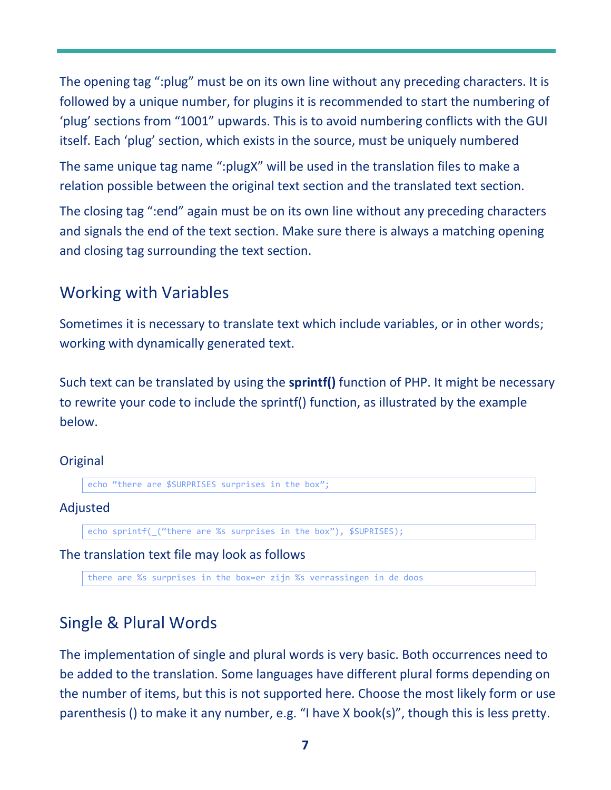The opening tag ":plug" must be on its own line without any preceding characters. It is followed by a unique number, for plugins it is recommended to start the numbering of 'plug' sections from "1001" upwards. This is to avoid numbering conflicts with the GUI itself. Each 'plug' section, which exists in the source, must be uniquely numbered

The same unique tag name ":plugX" will be used in the translation files to make a relation possible between the original text section and the translated text section.

The closing tag ":end" again must be on its own line without any preceding characters and signals the end of the text section. Make sure there is always a matching opening and closing tag surrounding the text section.

## Working with Variables

Sometimes it is necessary to translate text which include variables, or in other words; working with dynamically generated text.

Such text can be translated by using the **sprintf()** function of PHP. It might be necessary to rewrite your code to include the sprintf() function, as illustrated by the example below.

#### **Original**

echo "there are \$SURPRISES surprises in the box";

#### Adjusted

echo sprintf(\_("there are %s surprises in the box"), \$SUPRISES);

#### The translation text file may look as follows

there are %s surprises in the box=er zijn %s verrassingen in de doos

## Single & Plural Words

The implementation of single and plural words is very basic. Both occurrences need to be added to the translation. Some languages have different plural forms depending on the number of items, but this is not supported here. Choose the most likely form or use parenthesis () to make it any number, e.g. "I have X book(s)", though this is less pretty.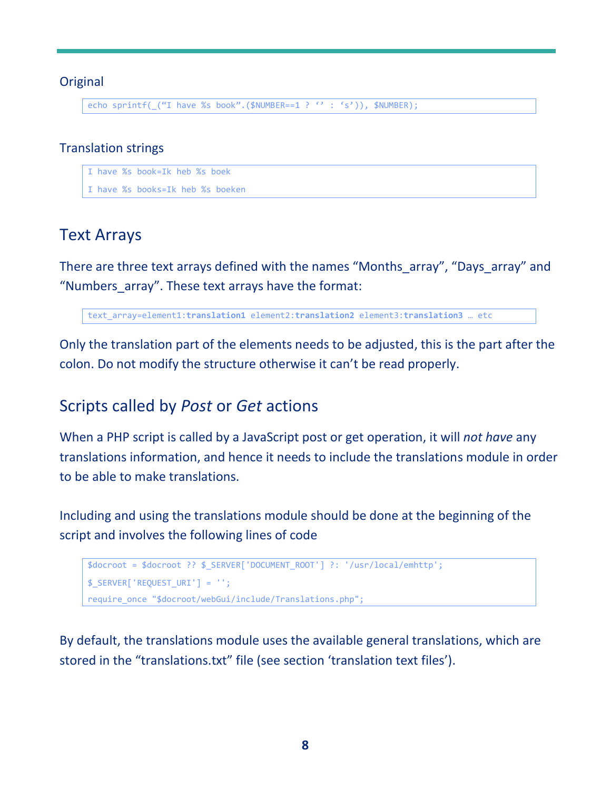#### **Original**

echo sprintf(\_("I have %s book".(\$NUMBER==1 ? '' : 's')), \$NUMBER);

#### Translation strings

I have %s book=Ik heb %s boek

I have %s books=Ik heb %s boeken

### Text Arrays

There are three text arrays defined with the names "Months array", "Days array" and "Numbers\_array". These text arrays have the format:

text\_array=element1:**translation1** element2:**translation2** element3:**translation3** … etc

Only the translation part of the elements needs to be adjusted, this is the part after the colon. Do not modify the structure otherwise it can't be read properly.

### Scripts called by *Post* or *Get* actions

When a PHP script is called by a JavaScript post or get operation, it will *not have* any translations information, and hence it needs to include the translations module in order to be able to make translations.

Including and using the translations module should be done at the beginning of the script and involves the following lines of code

```
$docroot = $docroot ?? $_SERVER['DOCUMENT_ROOT'] ?: '/usr/local/emhttp';
$_SERVER['REQUEST_URI'] = '';
require_once "$docroot/webGui/include/Translations.php";
```
By default, the translations module uses the available general translations, which are stored in the "translations.txt" file (see section 'translation text files').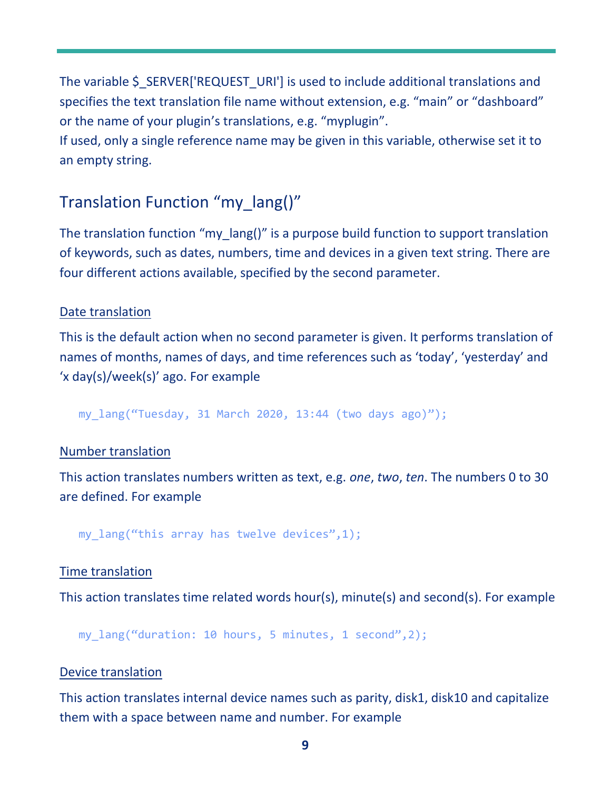The variable \$ SERVER['REQUEST\_URI'] is used to include additional translations and specifies the text translation file name without extension, e.g. "main" or "dashboard" or the name of your plugin's translations, e.g. "myplugin".

If used, only a single reference name may be given in this variable, otherwise set it to an empty string.

## Translation Function "my\_lang()"

The translation function "my lang()" is a purpose build function to support translation of keywords, such as dates, numbers, time and devices in a given text string. There are four different actions available, specified by the second parameter.

#### Date translation

This is the default action when no second parameter is given. It performs translation of names of months, names of days, and time references such as 'today', 'yesterday' and 'x day(s)/week(s)' ago. For example

my\_lang("Tuesday, 31 March 2020, 13:44 (two days ago)");

#### Number translation

This action translates numbers written as text, e.g. *one*, *two*, *ten*. The numbers 0 to 30 are defined. For example

my lang("this array has twelve devices", $1$ );

#### Time translation

This action translates time related words hour(s), minute(s) and second(s). For example

my\_lang("duration: 10 hours, 5 minutes, 1 second",2);

#### Device translation

This action translates internal device names such as parity, disk1, disk10 and capitalize them with a space between name and number. For example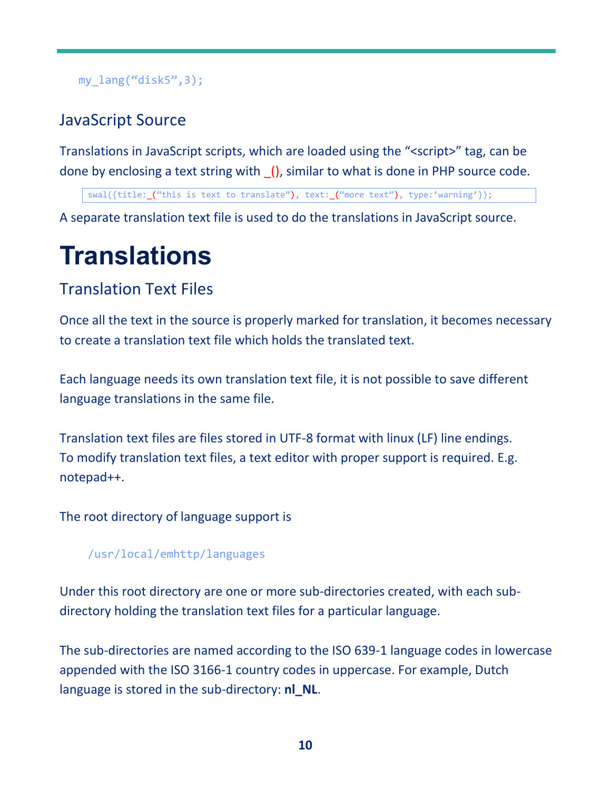### my\_lang("disk5",3);

## JavaScript Source

Translations in JavaScript scripts, which are loaded using the "<script>" tag, can be done by enclosing a text string with \_(), similar to what is done in PHP source code.

swal({title:\_("this is text to translate"), text:\_("more text"), type:'warning'});

A separate translation text file is used to do the translations in JavaScript source.

# **Translations**

## Translation Text Files

Once all the text in the source is properly marked for translation, it becomes necessary to create a translation text file which holds the translated text.

Each language needs its own translation text file, it is not possible to save different language translations in the same file.

Translation text files are files stored in UTF-8 format with linux (LF) line endings. To modify translation text files, a text editor with proper support is required. E.g. notepad++.

The root directory of language support is

#### /usr/local/emhttp/languages

Under this root directory are one or more sub-directories created, with each subdirectory holding the translation text files for a particular language.

The sub-directories are named according to the ISO 639-1 language codes in lowercase appended with the ISO 3166-1 country codes in uppercase. For example, Dutch language is stored in the sub-directory: **nl\_NL**.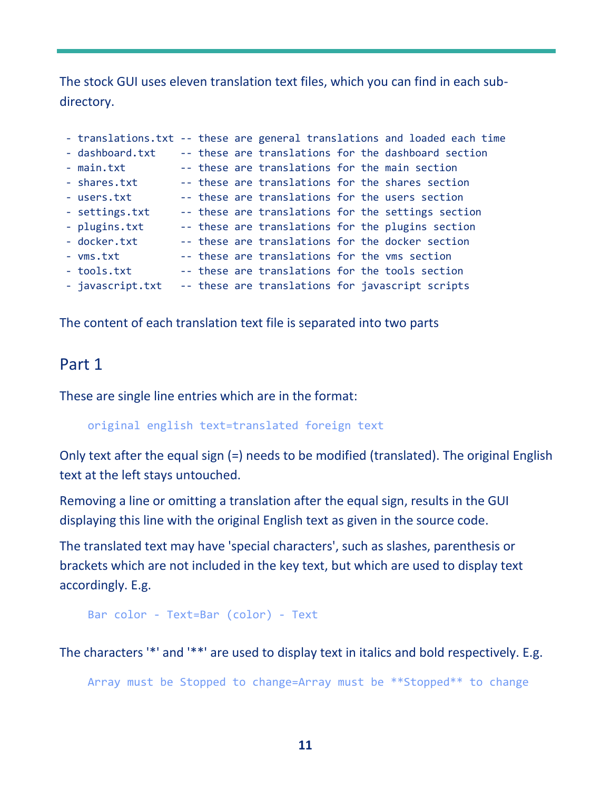The stock GUI uses eleven translation text files, which you can find in each subdirectory.

|                  |  |                                               |  | - translations.txt -- these are general translations and loaded each time |
|------------------|--|-----------------------------------------------|--|---------------------------------------------------------------------------|
| - dashboard.txt  |  |                                               |  | -- these are translations for the dashboard section                       |
| - main.txt       |  |                                               |  | -- these are translations for the main section                            |
| - shares.txt     |  |                                               |  | -- these are translations for the shares section                          |
| - users.txt      |  |                                               |  | -- these are translations for the users section                           |
| - settings.txt   |  |                                               |  | -- these are translations for the settings section                        |
| - plugins.txt    |  |                                               |  | -- these are translations for the plugins section                         |
| - docker.txt     |  |                                               |  | -- these are translations for the docker section                          |
| - vms.txt        |  | -- these are translations for the vms section |  |                                                                           |
| - tools.txt      |  |                                               |  | -- these are translations for the tools section                           |
| - javascript.txt |  |                                               |  | -- these are translations for javascript scripts                          |

The content of each translation text file is separated into two parts

### Part 1

These are single line entries which are in the format:

original english text=translated foreign text

Only text after the equal sign (=) needs to be modified (translated). The original English text at the left stays untouched.

Removing a line or omitting a translation after the equal sign, results in the GUI displaying this line with the original English text as given in the source code.

The translated text may have 'special characters', such as slashes, parenthesis or brackets which are not included in the key text, but which are used to display text accordingly. E.g.

```
Bar color - Text=Bar (color) - Text
```
The characters '\*' and '\*\*' are used to display text in italics and bold respectively. E.g.

Array must be Stopped to change=Array must be \*\*Stopped\*\* to change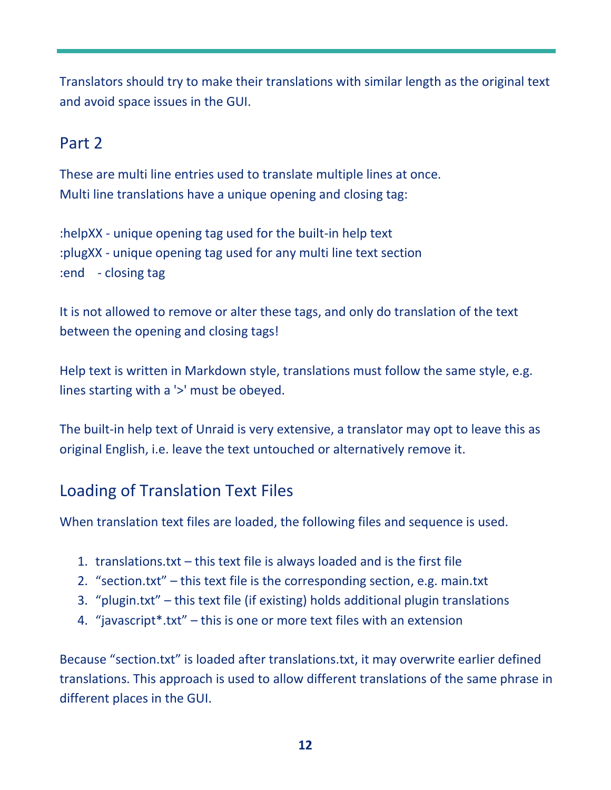Translators should try to make their translations with similar length as the original text and avoid space issues in the GUI.

## Part 2

These are multi line entries used to translate multiple lines at once. Multi line translations have a unique opening and closing tag:

:helpXX - unique opening tag used for the built-in help text :plugXX - unique opening tag used for any multi line text section :end - closing tag

It is not allowed to remove or alter these tags, and only do translation of the text between the opening and closing tags!

Help text is written in Markdown style, translations must follow the same style, e.g. lines starting with a '>' must be obeyed.

The built-in help text of Unraid is very extensive, a translator may opt to leave this as original English, i.e. leave the text untouched or alternatively remove it.

## Loading of Translation Text Files

When translation text files are loaded, the following files and sequence is used.

- 1. translations.txt this text file is always loaded and is the first file
- 2. "section.txt" this text file is the corresponding section, e.g. main.txt
- 3. "plugin.txt" this text file (if existing) holds additional plugin translations
- 4. "javascript\*.txt" this is one or more text files with an extension

Because "section.txt" is loaded after translations.txt, it may overwrite earlier defined translations. This approach is used to allow different translations of the same phrase in different places in the GUI.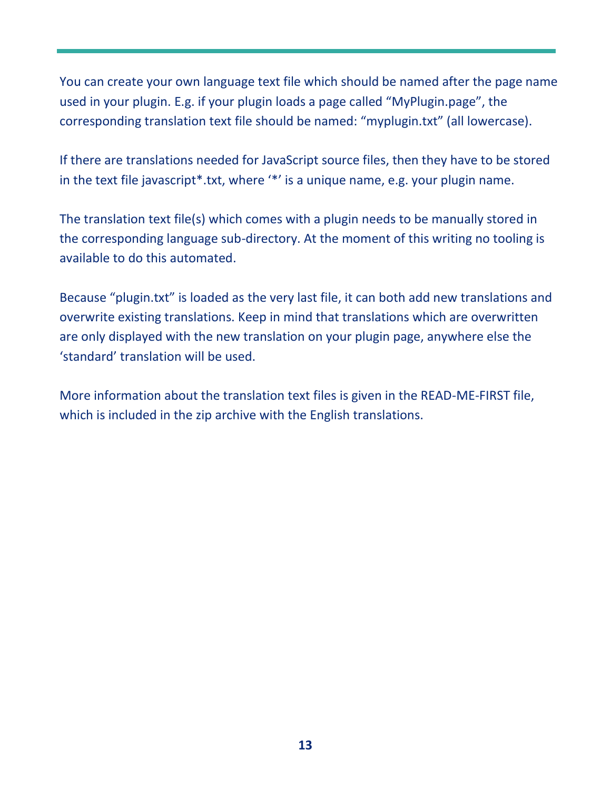You can create your own language text file which should be named after the page name used in your plugin. E.g. if your plugin loads a page called "MyPlugin.page", the corresponding translation text file should be named: "myplugin.txt" (all lowercase).

If there are translations needed for JavaScript source files, then they have to be stored in the text file javascript\*.txt, where '\*' is a unique name, e.g. your plugin name.

The translation text file(s) which comes with a plugin needs to be manually stored in the corresponding language sub-directory. At the moment of this writing no tooling is available to do this automated.

Because "plugin.txt" is loaded as the very last file, it can both add new translations and overwrite existing translations. Keep in mind that translations which are overwritten are only displayed with the new translation on your plugin page, anywhere else the 'standard' translation will be used.

More information about the translation text files is given in the READ-ME-FIRST file, which is included in the zip archive with the English translations.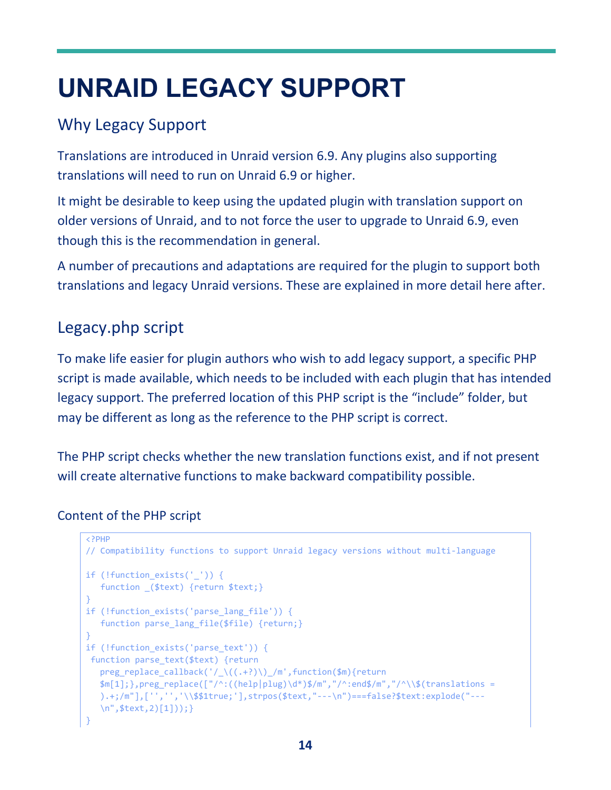# **UNRAID LEGACY SUPPORT**

## Why Legacy Support

Translations are introduced in Unraid version 6.9. Any plugins also supporting translations will need to run on Unraid 6.9 or higher.

It might be desirable to keep using the updated plugin with translation support on older versions of Unraid, and to not force the user to upgrade to Unraid 6.9, even though this is the recommendation in general.

A number of precautions and adaptations are required for the plugin to support both translations and legacy Unraid versions. These are explained in more detail here after.

## Legacy.php script

To make life easier for plugin authors who wish to add legacy support, a specific PHP script is made available, which needs to be included with each plugin that has intended legacy support. The preferred location of this PHP script is the "include" folder, but may be different as long as the reference to the PHP script is correct.

The PHP script checks whether the new translation functions exist, and if not present will create alternative functions to make backward compatibility possible.

### Content of the PHP script

```
<?PHP
// Compatibility functions to support Unraid legacy versions without multi-language
if (!function_exists('_')) {
  function _($text) {return $text;}
}
if (!function exists('parse lang file')) {
   function parse_lang_file($file) {return;}
}
if (!function_exists('parse_text')) {
function parse_text($text) {return 
  preg_replace_callback('/_\((.+?)\)_/m',function($m){return 
  \frac{m[1]}{m[1]}, preg_replace(["/^:((help|plug)\d*)$/m","/^:end$/m","/^\\$(translations =
  ).+;/m"],['','','\\$$1true;'],strpos($text,"---\n")===false?$text:explode("---
   \n",$text,2)[1]));}
}
```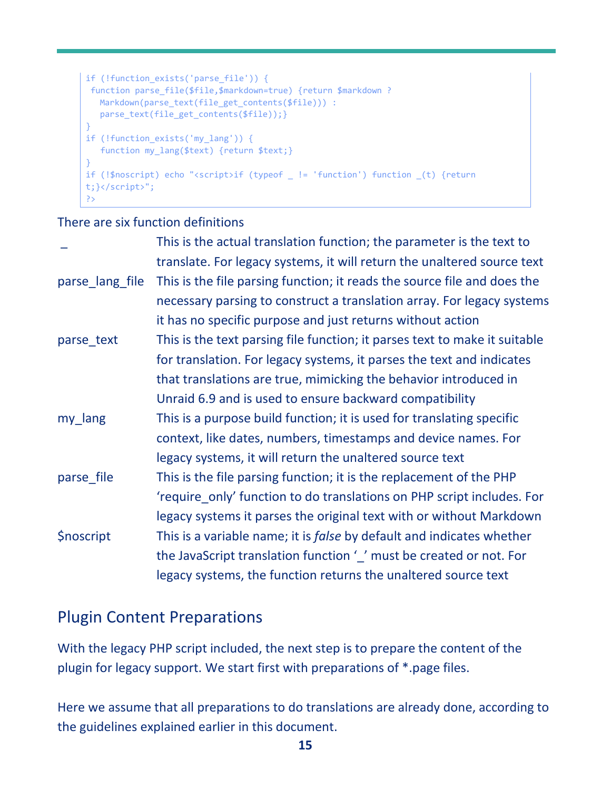```
if (!function exists('parse file')) {
function parse_file($file,$markdown=true) {return $markdown ? 
  Markdown(parse_text(file_get_contents($file))) : 
  parse_text(file_get_contents($file));}
}
if (!function exists('my lang')) {
  function my lang($text) {return $text;}
}
if (!$noscript) echo "<script>if (typeof _ != 'function') function _(t) {return 
t;}</script>";
?>
```
There are six function definitions

|                  | This is the actual translation function; the parameter is the text to         |
|------------------|-------------------------------------------------------------------------------|
|                  | translate. For legacy systems, it will return the unaltered source text       |
| parse_lang_file  | This is the file parsing function; it reads the source file and does the      |
|                  | necessary parsing to construct a translation array. For legacy systems        |
|                  | it has no specific purpose and just returns without action                    |
| parse_text       | This is the text parsing file function; it parses text to make it suitable    |
|                  | for translation. For legacy systems, it parses the text and indicates         |
|                  | that translations are true, mimicking the behavior introduced in              |
|                  | Unraid 6.9 and is used to ensure backward compatibility                       |
| my_lang          | This is a purpose build function; it is used for translating specific         |
|                  | context, like dates, numbers, timestamps and device names. For                |
|                  | legacy systems, it will return the unaltered source text                      |
| parse file       | This is the file parsing function; it is the replacement of the PHP           |
|                  | 'require_only' function to do translations on PHP script includes. For        |
|                  | legacy systems it parses the original text with or without Markdown           |
| <b>Snoscript</b> | This is a variable name; it is <i>false</i> by default and indicates whether  |
|                  | the JavaScript translation function $\frac{1}{2}$ must be created or not. For |
|                  | legacy systems, the function returns the unaltered source text                |

## Plugin Content Preparations

With the legacy PHP script included, the next step is to prepare the content of the plugin for legacy support. We start first with preparations of \*.page files.

Here we assume that all preparations to do translations are already done, according to the guidelines explained earlier in this document.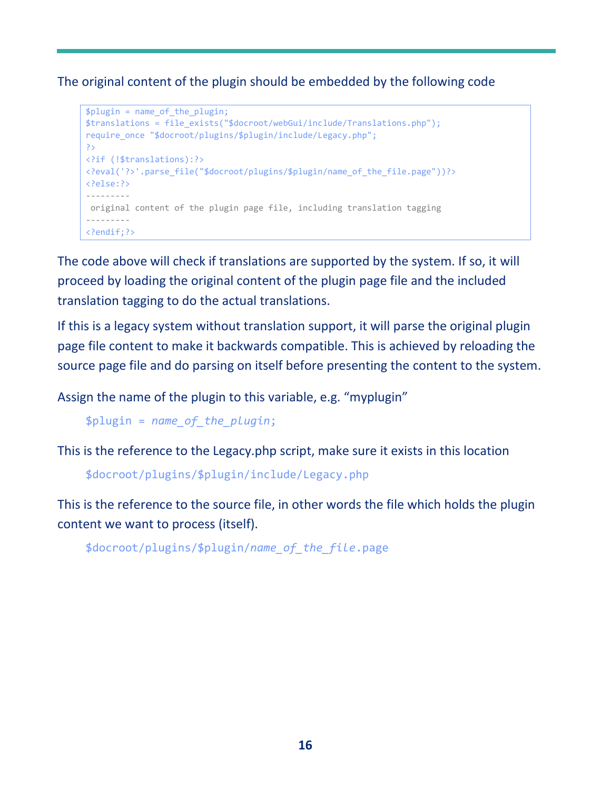The original content of the plugin should be embedded by the following code

```
$plugin = name_of_the_plugin;
$translations = file_exists("$docroot/webGui/include/Translations.php");
require_once "$docroot/plugins/$plugin/include/Legacy.php";
?>
<?if (!$translations):?>
<?eval('?>'.parse_file("$docroot/plugins/$plugin/name_of_the_file.page"))?>
<?else:?>
---------
original content of the plugin page file, including translation tagging
---------
<?endif;?>
```
The code above will check if translations are supported by the system. If so, it will proceed by loading the original content of the plugin page file and the included translation tagging to do the actual translations.

If this is a legacy system without translation support, it will parse the original plugin page file content to make it backwards compatible. This is achieved by reloading the source page file and do parsing on itself before presenting the content to the system.

Assign the name of the plugin to this variable, e.g. "myplugin"

\$plugin = *name\_of\_the\_plugin*;

This is the reference to the Legacy.php script, make sure it exists in this location

\$docroot/plugins/\$plugin/include/Legacy.php

This is the reference to the source file, in other words the file which holds the plugin content we want to process (itself).

```
$docroot/plugins/$plugin/name_of_the_file.page
```